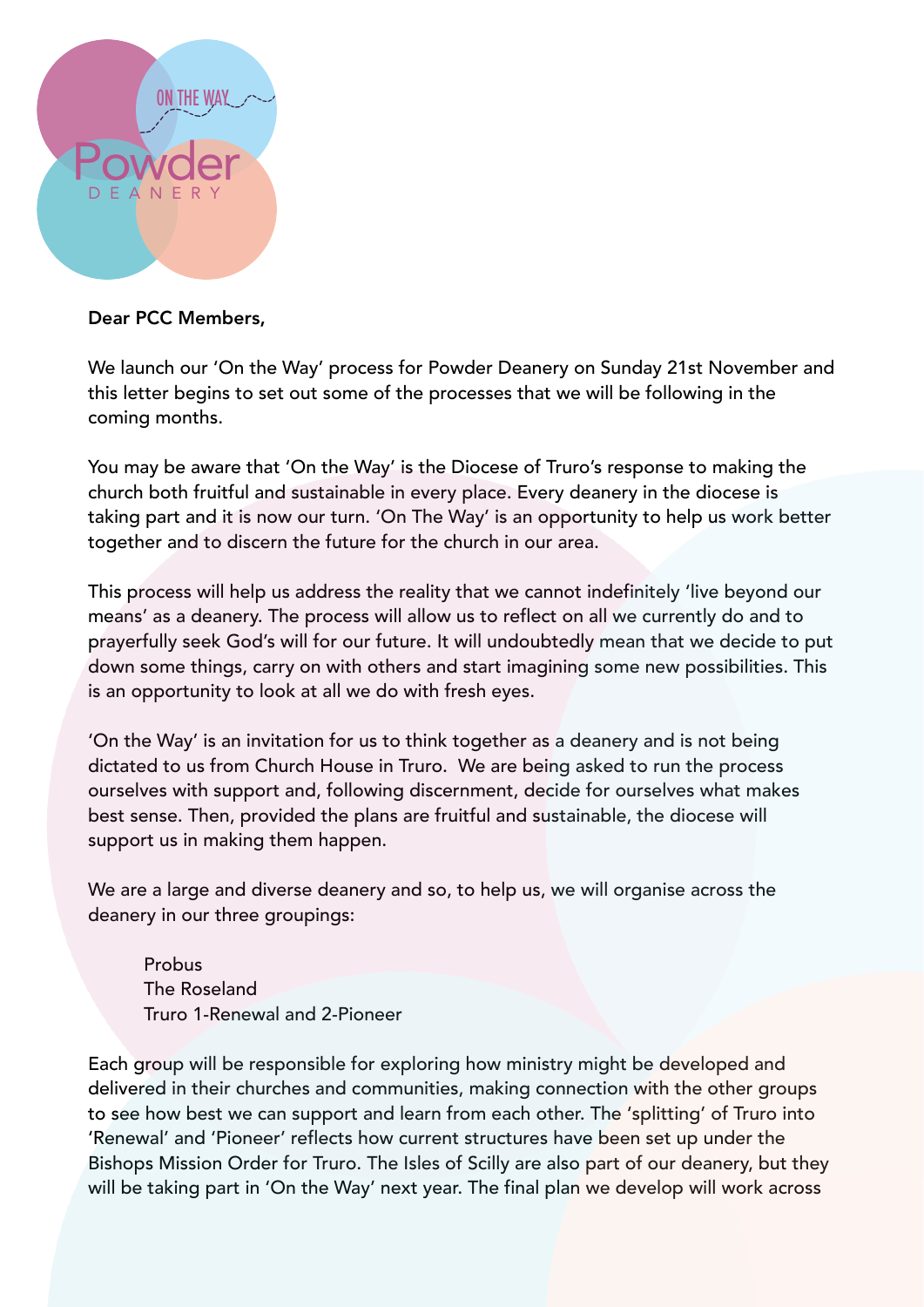

## Dear PCC Members,

We launch our 'On the Way' process for Powder Deanery on Sunday 21st November and this letter begins to set out some of the processes that we will be following in the coming months.

You may be aware that 'On the Way' is the Diocese of Truro's response to making the church both fruitful and sustainable in every place. Every deanery in the diocese is taking part and it is now our turn. 'On The Way' is an opportunity to help us work better together and to discern the future for the church in our area.

This process will help us address the reality that we cannot indefinitely 'live beyond our means' as a deanery. The process will allow us to reflect on all we currently do and to prayerfully seek God's will for our future. It will undoubtedly mean that we decide to put down some things, carry on with others and start imagining some new possibilities. This is an opportunity to look at all we do with fresh eyes.

'On the Way' is an invitation for us to think together as a deanery and is not being dictated to us from Church House in Truro. We are being asked to run the process ourselves with support and, following discernment, decide for ourselves what makes best sense. Then, provided the plans are fruitful and sustainable, the diocese will support us in making them happen.

We are a large and diverse deanery and so, to help us, we will organise across the deanery in our three groupings:

Probus The Roseland Truro 1-Renewal and 2-Pioneer

Each group will be responsible for exploring how ministry might be developed and delivered in their churches and communities, making connection with the other groups to see how best we can support and learn from each other. The 'splitting' of Truro into 'Renewal' and 'Pioneer' reflects how current structures have been set up under the Bishops Mission Order for Truro. The Isles of Scilly are also part of our deanery, but they will be taking part in 'On the Way' next year. The final plan we develop will work across